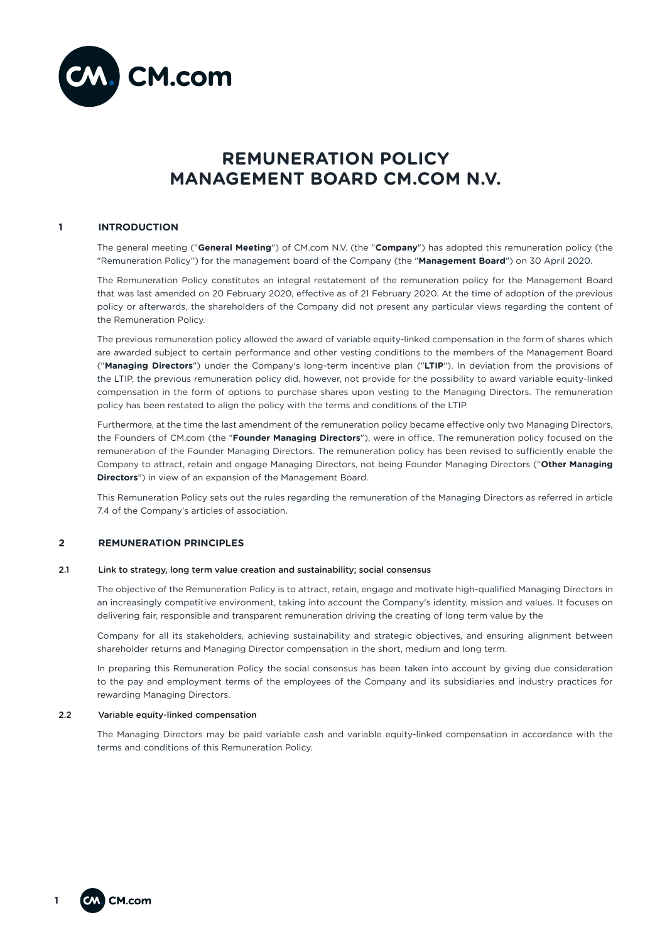

# **REMUNERATION POLICY MANAGEMENT BOARD CM.COM N.V.**

# **1 INTRODUCTION**

The general meeting ("**General Meeting**") of CM.com N.V. (the "**Company**") has adopted this remuneration policy (the "Remuneration Policy") for the management board of the Company (the "**Management Board**") on 30 April 2020.

The Remuneration Policy constitutes an integral restatement of the remuneration policy for the Management Board that was last amended on 20 February 2020, effective as of 21 February 2020. At the time of adoption of the previous policy or afterwards, the shareholders of the Company did not present any particular views regarding the content of the Remuneration Policy.

The previous remuneration policy allowed the award of variable equity-linked compensation in the form of shares which are awarded subject to certain performance and other vesting conditions to the members of the Management Board ("**Managing Directors**") under the Company's long-term incentive plan ("**LTIP**"). In deviation from the provisions of the LTIP, the previous remuneration policy did, however, not provide for the possibility to award variable equity-linked compensation in the form of options to purchase shares upon vesting to the Managing Directors. The remuneration policy has been restated to align the policy with the terms and conditions of the LTIP.

Furthermore, at the time the last amendment of the remuneration policy became effective only two Managing Directors, the Founders of CM.com (the "**Founder Managing Directors**"), were in office. The remuneration policy focused on the remuneration of the Founder Managing Directors. The remuneration policy has been revised to sufficiently enable the Company to attract, retain and engage Managing Directors, not being Founder Managing Directors ("**Other Managing Directors**") in view of an expansion of the Management Board.

This Remuneration Policy sets out the rules regarding the remuneration of the Managing Directors as referred in article 7.4 of the Company's articles of association.

#### **2 REMUNERATION PRINCIPLES**

### 2.1 Link to strategy, long term value creation and sustainability; social consensus

The objective of the Remuneration Policy is to attract, retain, engage and motivate high-qualified Managing Directors in an increasingly competitive environment, taking into account the Company's identity, mission and values. It focuses on delivering fair, responsible and transparent remuneration driving the creating of long term value by the

Company for all its stakeholders, achieving sustainability and strategic objectives, and ensuring alignment between shareholder returns and Managing Director compensation in the short, medium and long term.

In preparing this Remuneration Policy the social consensus has been taken into account by giving due consideration to the pay and employment terms of the employees of the Company and its subsidiaries and industry practices for rewarding Managing Directors.

#### 2.2 Variable equity-linked compensation

The Managing Directors may be paid variable cash and variable equity-linked compensation in accordance with the terms and conditions of this Remuneration Policy.

**1**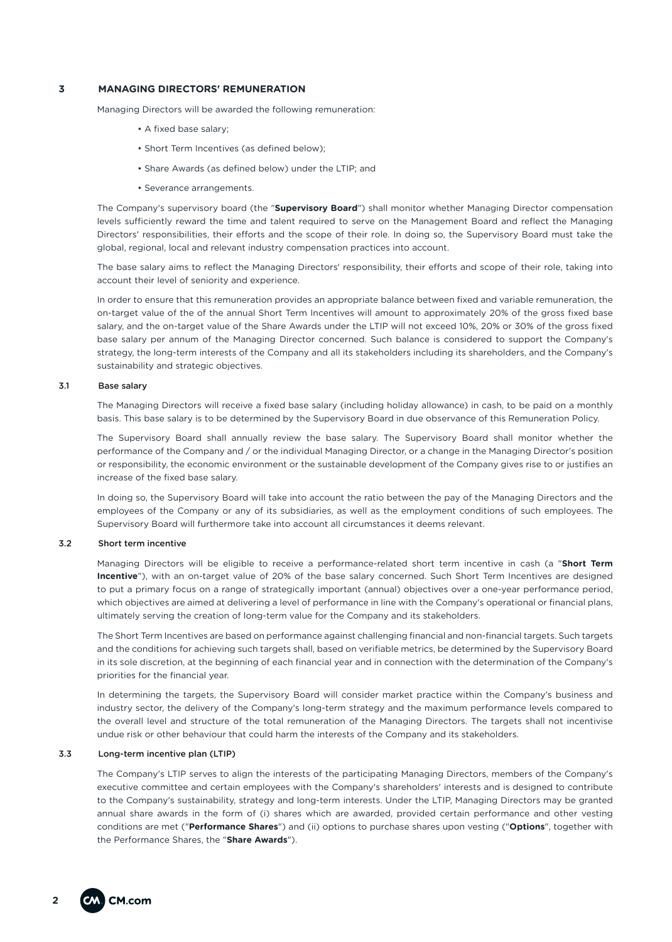# **3 MANAGING DIRECTORS' REMUNERATION**

Managing Directors will be awarded the following remuneration:

- A fixed base salary;
- Short Term Incentives (as defined below);
- Share Awards (as defined below) under the LTIP; and
- Severance arrangements.

The Company's supervisory board (the "**Supervisory Board**") shall monitor whether Managing Director compensation levels sufficiently reward the time and talent required to serve on the Management Board and reflect the Managing Directors' responsibilities, their efforts and the scope of their role. In doing so, the Supervisory Board must take the global, regional, local and relevant industry compensation practices into account.

The base salary aims to reflect the Managing Directors' responsibility, their efforts and scope of their role, taking into account their level of seniority and experience.

In order to ensure that this remuneration provides an appropriate balance between fixed and variable remuneration, the on-target value of the of the annual Short Term Incentives will amount to approximately 20% of the gross fixed base salary, and the on-target value of the Share Awards under the LTIP will not exceed 10%, 20% or 30% of the gross fixed base salary per annum of the Managing Director concerned. Such balance is considered to support the Company's strategy, the long-term interests of the Company and all its stakeholders including its shareholders, and the Company's sustainability and strategic objectives.

#### 3.1 Base salary

The Managing Directors will receive a fixed base salary (including holiday allowance) in cash, to be paid on a monthly basis. This base salary is to be determined by the Supervisory Board in due observance of this Remuneration Policy.

The Supervisory Board shall annually review the base salary. The Supervisory Board shall monitor whether the performance of the Company and / or the individual Managing Director, or a change in the Managing Director's position or responsibility, the economic environment or the sustainable development of the Company gives rise to or justifies an increase of the fixed base salary.

In doing so, the Supervisory Board will take into account the ratio between the pay of the Managing Directors and the employees of the Company or any of its subsidiaries, as well as the employment conditions of such employees. The Supervisory Board will furthermore take into account all circumstances it deems relevant.

#### 3.2 Short term incentive

Managing Directors will be eligible to receive a performance-related short term incentive in cash (a "**Short Term Incentive**"), with an on-target value of 20% of the base salary concerned. Such Short Term Incentives are designed to put a primary focus on a range of strategically important (annual) objectives over a one-year performance period, which objectives are aimed at delivering a level of performance in line with the Company's operational or financial plans, ultimately serving the creation of long-term value for the Company and its stakeholders.

The Short Term Incentives are based on performance against challenging financial and non-financial targets. Such targets and the conditions for achieving such targets shall, based on verifiable metrics, be determined by the Supervisory Board in its sole discretion, at the beginning of each financial year and in connection with the determination of the Company's priorities for the financial year.

In determining the targets, the Supervisory Board will consider market practice within the Company's business and industry sector, the delivery of the Company's long-term strategy and the maximum performance levels compared to the overall level and structure of the total remuneration of the Managing Directors. The targets shall not incentivise undue risk or other behaviour that could harm the interests of the Company and its stakeholders.

#### 3.3 Long-term incentive plan (LTIP)

The Company's LTIP serves to align the interests of the participating Managing Directors, members of the Company's executive committee and certain employees with the Company's shareholders' interests and is designed to contribute to the Company's sustainability, strategy and long-term interests. Under the LTIP, Managing Directors may be granted annual share awards in the form of (i) shares which are awarded, provided certain performance and other vesting conditions are met ("**Performance Shares**") and (ii) options to purchase shares upon vesting ("**Options**", together with the Performance Shares, the "**Share Awards**").

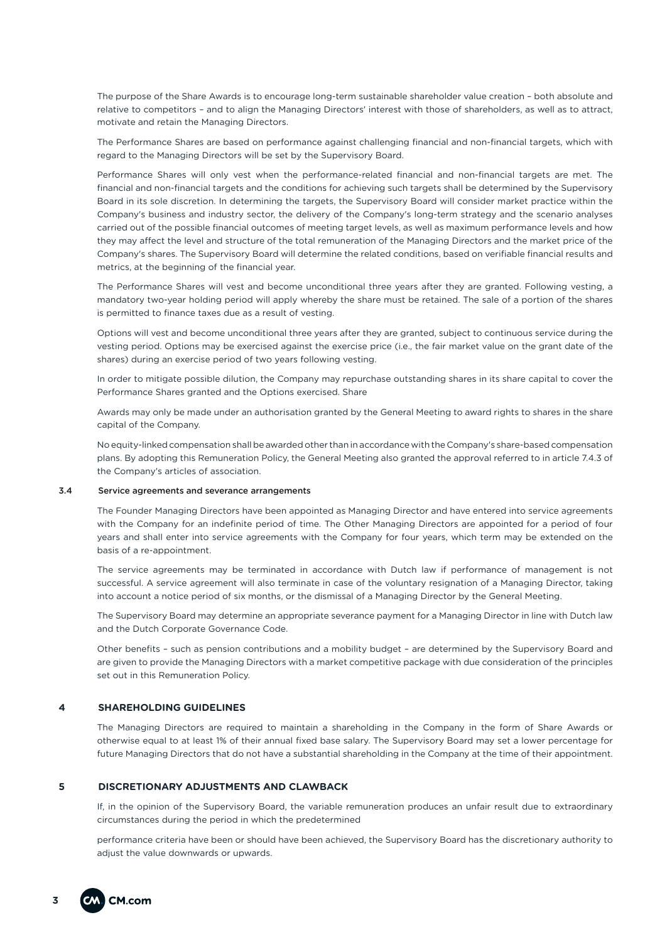The purpose of the Share Awards is to encourage long-term sustainable shareholder value creation – both absolute and relative to competitors – and to align the Managing Directors' interest with those of shareholders, as well as to attract, motivate and retain the Managing Directors.

The Performance Shares are based on performance against challenging financial and non-financial targets, which with regard to the Managing Directors will be set by the Supervisory Board.

Performance Shares will only vest when the performance-related financial and non-financial targets are met. The financial and non-financial targets and the conditions for achieving such targets shall be determined by the Supervisory Board in its sole discretion. In determining the targets, the Supervisory Board will consider market practice within the Company's business and industry sector, the delivery of the Company's long-term strategy and the scenario analyses carried out of the possible financial outcomes of meeting target levels, as well as maximum performance levels and how they may affect the level and structure of the total remuneration of the Managing Directors and the market price of the Company's shares. The Supervisory Board will determine the related conditions, based on verifiable financial results and metrics, at the beginning of the financial year.

The Performance Shares will vest and become unconditional three years after they are granted. Following vesting, a mandatory two-year holding period will apply whereby the share must be retained. The sale of a portion of the shares is permitted to finance taxes due as a result of vesting.

Options will vest and become unconditional three years after they are granted, subject to continuous service during the vesting period. Options may be exercised against the exercise price (i.e., the fair market value on the grant date of the shares) during an exercise period of two years following vesting.

In order to mitigate possible dilution, the Company may repurchase outstanding shares in its share capital to cover the Performance Shares granted and the Options exercised. Share

Awards may only be made under an authorisation granted by the General Meeting to award rights to shares in the share capital of the Company.

No equity-linked compensation shall be awarded other than in accordance with the Company's share-based compensation plans. By adopting this Remuneration Policy, the General Meeting also granted the approval referred to in article 7.4.3 of the Company's articles of association.

# 3.4 Service agreements and severance arrangements

The Founder Managing Directors have been appointed as Managing Director and have entered into service agreements with the Company for an indefinite period of time. The Other Managing Directors are appointed for a period of four years and shall enter into service agreements with the Company for four years, which term may be extended on the basis of a re-appointment.

The service agreements may be terminated in accordance with Dutch law if performance of management is not successful. A service agreement will also terminate in case of the voluntary resignation of a Managing Director, taking into account a notice period of six months, or the dismissal of a Managing Director by the General Meeting.

The Supervisory Board may determine an appropriate severance payment for a Managing Director in line with Dutch law and the Dutch Corporate Governance Code.

Other benefits – such as pension contributions and a mobility budget – are determined by the Supervisory Board and are given to provide the Managing Directors with a market competitive package with due consideration of the principles set out in this Remuneration Policy.

# **4 SHAREHOLDING GUIDELINES**

The Managing Directors are required to maintain a shareholding in the Company in the form of Share Awards or otherwise equal to at least 1% of their annual fixed base salary. The Supervisory Board may set a lower percentage for future Managing Directors that do not have a substantial shareholding in the Company at the time of their appointment.

#### **5 DISCRETIONARY ADJUSTMENTS AND CLAWBACK**

If, in the opinion of the Supervisory Board, the variable remuneration produces an unfair result due to extraordinary circumstances during the period in which the predetermined

performance criteria have been or should have been achieved, the Supervisory Board has the discretionary authority to adjust the value downwards or upwards.